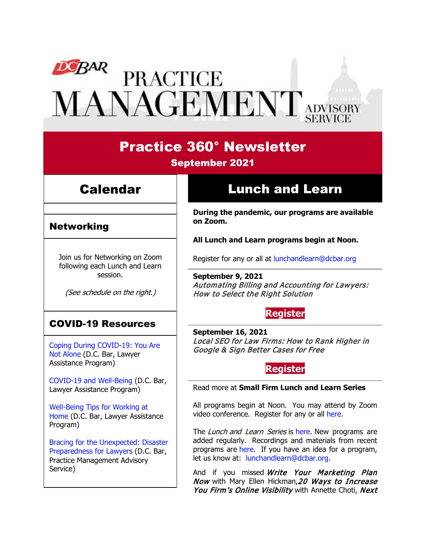# **DEBAR**<br>PRACTICE MANAGEMENT ADVISORY

# Practice 360° Newsletter

September 2021

## Calendar

Networking

# Lunch and Learn

**During the pandemic, our programs are available on Zoom.**

**All Lunch and Learn programs begin at Noon.**

Join us for Networking on Zoom following each Lunch and Learn session.

(See schedule on the right.)

## COVID-19 Resources

[Coping During COVID-19: You Are](https://www.dcbar.org/news-events/news/coping-during-covid-19-you-are-not-alone?utm_source=Real%20Magnet&utm_medium=INSERT_CHANNEL&utm_campaign=INSERT_LINK_ID)  [Not Alone](https://www.dcbar.org/news-events/news/coping-during-covid-19-you-are-not-alone?utm_source=Real%20Magnet&utm_medium=INSERT_CHANNEL&utm_campaign=INSERT_LINK_ID) (D.C. Bar, Lawyer Assistance Program)

[COVID-19 and Well-Being](https://dcbarcms-uat3.i3digital.com/DCBar/i3Base/DCBar/For%20Lawyers/Lawyer%20Assistance%20Program/PDFs/covid-19-and-well-being.pdf) (D.C. Bar, Lawyer Assistance Program)

[Well-Being Tips for Working at](https://dcbarcms-uat3.i3digital.com/DCBar/i3Base/DCBar/For%20Lawyers/Lawyer%20Assistance%20Program/PDFs/Wellness-Tips-Working-From-Home.pdf)  [Home](https://dcbarcms-uat3.i3digital.com/DCBar/i3Base/DCBar/For%20Lawyers/Lawyer%20Assistance%20Program/PDFs/Wellness-Tips-Working-From-Home.pdf) (D.C. Bar, Lawyer Assistance Program)

[Bracing for the Unexpected: Disaster](https://www.dcbar.org/news-events/news/bracing-for-the-unexpected-disaster-preparedness-f?utm_source=Real%20Magnet&utm_medium=INSERT_CHANNEL&utm_campaign=INSERT_LINK_ID)  [Preparedness for Lawyers](https://www.dcbar.org/news-events/news/bracing-for-the-unexpected-disaster-preparedness-f?utm_source=Real%20Magnet&utm_medium=INSERT_CHANNEL&utm_campaign=INSERT_LINK_ID) (D.C. Bar, Practice Management Advisory Service)

Register for any or all at [lunchandlearn@dcbar.org](mailto:lunchandlearn@dcbar.org?subject=Lunch%20and%20Learn)

**September 9, 2021** Automating Billing and Accounting for Lawyers: How to Select the Right Solution

## **[Register](https://dcbar.inreachce.com/Details/Information/04acb090-b9e3-47e1-92dd-61a1581f2cec)**

**September 16, 2021** Local SEO for Law Firms: How to Rank Higher in Google & Sign Better Cases for Free

### **[Register](https://dcbar.inreachce.com/Details/Information/d6073442-ec35-436d-971d-596225e30eac)**

#### Read more at **[Small Firm Lunch](https://www.dcbar.org/for-lawyers/practice-management-advisory-service/courses-and-trainings/small-firm-lunch-and-learn-series?utm_source=Real%20Magnet&utm_medium=INSERT_CHANNEL&utm_campaign=INSERT_LINK_ID) and Learn Series**

All programs begin at Noon. You may attend by Zoom video conference. Register for any or all [here.](https://www.dcbar.org/for-lawyers/practice-management-advisory-service/courses-and-trainings/small-firm-lunch-and-learn-series?utm_source=Real%20Magnet&utm_medium=INSERT_CHANNEL&utm_campaign=INSERT_LINK_ID)

The Lunch and Learn Series is [here.](https://www.dcbar.org/for-lawyers/practice-management-advisory-service/courses-and-trainings/small-firm-lunch-and-learn-series?utm_source=Real%20Magnet&utm_medium=INSERT_CHANNEL&utm_campaign=INSERT_LINK_ID) New programs are added regularly. Recordings and materials from recent programs are [here.](https://www.dcbar.org/for-lawyers/practice-management-advisory-service/courses-and-trainings/small-firm-lunch-and-learn-series/past-lunch-and-learn-programs?utm_source=Real%20Magnet&utm_medium=INSERT_CHANNEL&utm_campaign=INSERT_LINK_ID) If you have an idea for a program, let us know at: [lunchandlearn@dcbar.org.](mailto:lunchandlearn@dcbar.org)

And if you missed Write Your Marketing Plan Now with Mary Ellen Hickman, 20 Ways to Increase You Firm's Online Visibility with Annette Choti, Next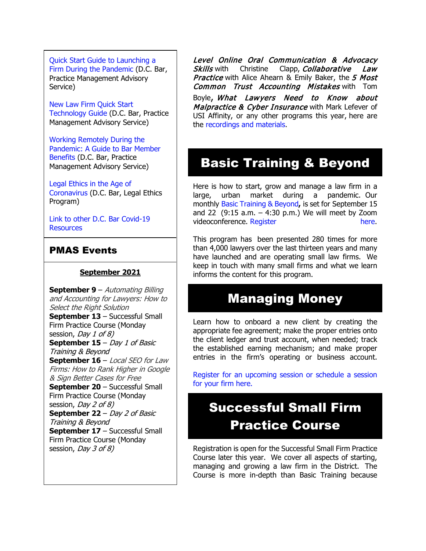[Quick Start Guide to Launching a](https://www.dcbar.org/getmedia/d28b7c4b-3dcb-419e-828d-fdc2340588f9/Career-disruption-setting-up-a-law-firm-quickly-resources?utm_source=Real%20Magnet&utm_medium=INSERT_CHANNEL&utm_campaign=INSERT_LINK_ID)  [Firm During the Pandemic](https://www.dcbar.org/getmedia/d28b7c4b-3dcb-419e-828d-fdc2340588f9/Career-disruption-setting-up-a-law-firm-quickly-resources?utm_source=Real%20Magnet&utm_medium=INSERT_CHANNEL&utm_campaign=INSERT_LINK_ID) (D.C. Bar, Practice Management Advisory Service)

[New Law Firm Quick Start](https://www.dcbar.org/getmedia/34a3addd-9a13-4fc7-8e68-fbc2be8b50e0/Quick-start-Tech-Guide-final?utm_source=Real%20Magnet&utm_medium=INSERT_CHANNEL&utm_campaign=INSERT_LINK_ID)  [Technology Guide](https://www.dcbar.org/getmedia/34a3addd-9a13-4fc7-8e68-fbc2be8b50e0/Quick-start-Tech-Guide-final?utm_source=Real%20Magnet&utm_medium=INSERT_CHANNEL&utm_campaign=INSERT_LINK_ID) (D.C. Bar, Practice Management Advisory Service)

[Working Remotely During the](https://www.dcbar.org/news-events/news/working-remotely-during-the-pandemic-a-guide-to-ba?utm_source=Real%20Magnet&utm_medium=INSERT_CHANNEL&utm_campaign=INSERT_LINK_ID)  [Pandemic: A Guide to Bar Member](https://www.dcbar.org/news-events/news/working-remotely-during-the-pandemic-a-guide-to-ba?utm_source=Real%20Magnet&utm_medium=INSERT_CHANNEL&utm_campaign=INSERT_LINK_ID)  [Benefits](https://www.dcbar.org/news-events/news/working-remotely-during-the-pandemic-a-guide-to-ba?utm_source=Real%20Magnet&utm_medium=INSERT_CHANNEL&utm_campaign=INSERT_LINK_ID) (D.C. Bar, Practice Management Advisory Service)

[Legal Ethics in the Age of](https://www.dcbar.org/news-events/news/legal-ethics-in-the-age-of-the-coronavirus?utm_source=Real%20Magnet&utm_medium=INSERT_CHANNEL&utm_campaign=INSERT_LINK_ID)  [Coronavirus](https://www.dcbar.org/news-events/news/legal-ethics-in-the-age-of-the-coronavirus?utm_source=Real%20Magnet&utm_medium=INSERT_CHANNEL&utm_campaign=INSERT_LINK_ID) (D.C. Bar, Legal Ethics Program)

[Link to other D.C.](https://www.dcbar.org/for-lawyers/membership/covid-19-resources?utm_source=Real%20Magnet&utm_medium=INSERT_CHANNEL&utm_campaign=INSERT_LINK_ID) Bar Covid-19 **[Resources](https://www.dcbar.org/for-lawyers/membership/covid-19-resources?utm_source=Real%20Magnet&utm_medium=INSERT_CHANNEL&utm_campaign=INSERT_LINK_ID)** 

#### PMAS Events

#### **September 2021**

**September 9** – Automating Billing and Accounting for Lawyers: How to Select the Right Solution **September 13** – Successful Small Firm Practice Course (Monday session, *Dav 1 of 8*) **September 15** – Day 1 of Basic Training & Beyond **September 16** – Local SEO for Law Firms: How to Rank Higher in Google & Sign Better Cases for Free **September 20** – Successful Small Firm Practice Course (Monday session, *Day 2 of 8*) **September 22** – Day 2 of Basic Training & Beyond **September 17** – Successful Small Firm Practice Course (Monday session, *Day 3 of 8*)

Level Online Oral Communication & Advocacy Skills with Christine Clapp, Collaborative Law Practice with Alice Ahearn & Emily Baker, the 5 Most **Common Trust Accounting Mistakes with Tom** Boyle, What Lawyers Need to Know about Malpractice & Cyber Insurance with Mark Lefever of USI Affinity, or any other programs this year, here are the [recordings and materials.](https://www.dcbar.org/for-lawyers/practice-management-advisory-service/courses-and-trainings/small-firm-lunch-and-learn-series/past-lunch-and-learn-programs?utm_source=Real%20Magnet&utm_medium=INSERT_CHANNEL&utm_campaign=INSERT_LINK_ID)

## Basic Training & Beyond

Here is how to start, grow and manage a law firm in a large, urban market during a pandemic. Our monthly [Basic Training & Beyond](http://www.mmsend31.com/link.cfm?r=zvkjaWqFFUTRz65Avl-Ftw%7E%7E&pe=c3ph7NU-Re1l6uj-xoZC_Nqnf2HGTrpIRRfl_qZmlgZN_I06rShTZ-AlGs0Wp7CGgKUozsdU2izsioLhmXaRbg%7E%7E&t=prXb-jowJMuBRf73r4YKRA%7E%7E)**,** is set for September 15 and 22  $(9:15 a.m. - 4:30 p.m.)$  We will meet by Zoom videoconference. [Register here.](http://www.mmsend31.com/link.cfm?r=zvkjaWqFFUTRz65Avl-Ftw%7E%7E&pe=BxjSlIjTK_3i3Os02s37pODjnSEaSaIBfLm0UarKy-K07-G29KY0F7SoVNdKQgSYIVrXVvuyFBcMiPY5X35JOA%7E%7E&t=prXb-jowJMuBRf73r4YKRA%7E%7E)

This program has been presented 280 times for more than 4,000 lawyers over the last thirteen years and many have launched and are operating small law firms. We keep in touch with many small firms and what we learn informs the content for this program.

## Managing Money

Learn how to onboard a new client by creating the appropriate fee agreement; make the proper entries onto the client ledger and trust account, when needed; track the established earning mechanism; and make proper entries in the firm's operating or business account.

[Register for an upcoming session or schedule a session](https://www.dcbar.org/for-lawyers/practice-management-advisory-service/courses-and-trainings/managing-money?utm_source=Real%20Magnet&utm_medium=INSERT_CHANNEL&utm_campaign=INSERT_LINK_ID)  [for your firm here.](https://www.dcbar.org/for-lawyers/practice-management-advisory-service/courses-and-trainings/managing-money?utm_source=Real%20Magnet&utm_medium=INSERT_CHANNEL&utm_campaign=INSERT_LINK_ID) 

## Successful Small Firm Practice Course

Registration is open for the Successful Small Firm Practice Course later this year. We cover all aspects of starting, managing and growing a law firm in the District. The Course is more in-depth than Basic Training because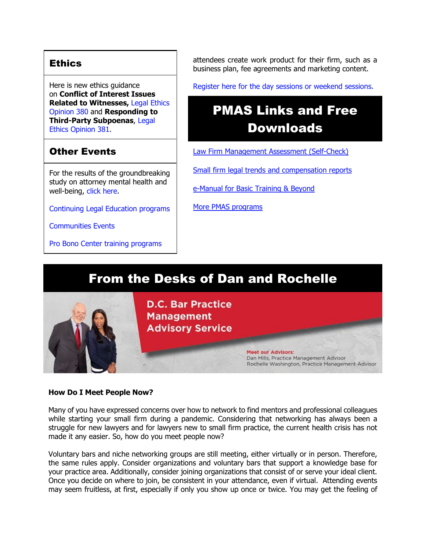#### **Ethics**

Here is new ethics guidance on **Conflict of Interest Issues Related to Witnesses,** [Legal Ethics](https://www.dcbar.org/getmedia/157836df-95d6-423c-b928-3dd1ce946c3b/opinion_380-(1)?utm_source=Real%20Magnet&utm_medium=INSERT_CHANNEL&utm_campaign=INSERT_LINK_ID)  [Opinion 380](https://www.dcbar.org/getmedia/157836df-95d6-423c-b928-3dd1ce946c3b/opinion_380-(1)?utm_source=Real%20Magnet&utm_medium=INSERT_CHANNEL&utm_campaign=INSERT_LINK_ID) and **Responding to Third-Party Subpoenas**, [Legal](https://www.dcbar.org/getmedia/841cc5e4-dffc-4da0-bc1a-b96e7f48f100/opinion_381?utm_source=Real%20Magnet&utm_medium=INSERT_CHANNEL&utm_campaign=INSERT_LINK_ID)  [Ethics Opinion 381.](https://www.dcbar.org/getmedia/841cc5e4-dffc-4da0-bc1a-b96e7f48f100/opinion_381?utm_source=Real%20Magnet&utm_medium=INSERT_CHANNEL&utm_campaign=INSERT_LINK_ID)

#### Other Events

For the results of the groundbreaking study on attorney mental health and well-being, [click here.](https://www.dcbar.org/news-events/news/california-lawyers-association-and-the-d-c-bar-ann?utm_source=Real%20Magnet&utm_medium=INSERT_CHANNEL&utm_campaign=INSERT_LINK_ID)

[Continuing Legal Education programs](https://dcbar.inreachce.com/SearchResults?searchType=1&category=b7426509-0fca-4650-bf8a-8c9ace05de88)

[Communities Events](https://join.dcbar.org/eweb/DynamicPage.aspx?site=dcbar&webcode=EventList&utm_source=Real%20Magnet&utm_medium=INSERT_CHANNEL&utm_campaign=INSERT_LINK_ID)

[Pro Bono Center training programs](https://www.dcbar.org/pro-bono/resources-and-training/pro-bono-center-training-program?utm_source=Real%20Magnet&utm_medium=INSERT_CHANNEL&utm_campaign=INSERT_LINK_ID)

attendees create work product for their firm, such as a business plan, fee agreements and marketing content.

[Register here for the day sessions or weekend sessions.](https://www.dcbar.org/for-lawyers/practice-management-advisory-service/courses-and-trainings/successful-small-firm-practice?utm_source=Real%20Magnet&utm_medium=INSERT_CHANNEL&utm_campaign=INSERT_LINK_ID)

# PMAS Links and Free Downloads

[Law Firm Management Assessment \(Self-Check\)](https://www.dcbar.org/for-lawyers/practice-management-advisory-service/practice-tips-and-compliance/self-check?utm_source=Real%20Magnet&utm_medium=INSERT_CHANNEL&utm_campaign=INSERT_LINK_ID)

[Small firm legal trends and compensation reports](https://www.dcbar.org/for-lawyers/practice-management-advisory-service/courses-and-trainings/basic-training-beyond/basic-training-beyond-supplements?utm_source=Real%20Magnet&utm_medium=INSERT_CHANNEL&utm_campaign=INSERT_LINK_ID)

[e-Manual for Basic Training & Beyond](https://documentcloud.adobe.com/link/review?uri=urn:aaid:scds:US:2182dc5f-4a8c-435d-bb76-280eddc57a6d)

[More PMAS programs](https://www.dcbar.org/for-lawyers/practice-management-advisory-service/courses-and-trainings?utm_source=Real%20Magnet&utm_medium=INSERT_CHANNEL&utm_campaign=INSERT_LINK_ID)

## From the Desks of Dan and Rochelle



#### **How Do I Meet People Now?**

Many of you have expressed concerns over how to network to find mentors and professional colleagues while starting your small firm during a pandemic. Considering that networking has always been a struggle for new lawyers and for lawyers new to small firm practice, the current health crisis has not made it any easier. So, how do you meet people now?

Voluntary bars and niche networking groups are still meeting, either virtually or in person. Therefore, the same rules apply. Consider organizations and voluntary bars that support a knowledge base for your practice area. Additionally, consider joining organizations that consist of or serve your ideal client. Once you decide on where to join, be consistent in your attendance, even if virtual. Attending events may seem fruitless, at first, especially if only you show up once or twice. You may get the feeling of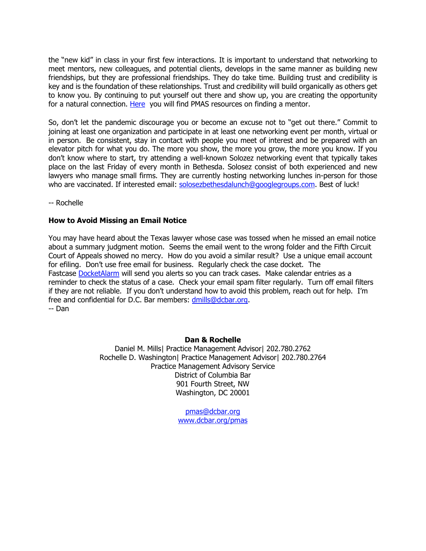the "new kid" in class in your first few interactions. It is important to understand that networking to meet mentors, new colleagues, and potential clients, develops in the same manner as building new friendships, but they are professional friendships. They do take time. Building trust and credibility is key and is the foundation of these relationships. Trust and credibility will build organically as others get to know you. By continuing to put yourself out there and show up, you are creating the opportunity for a natural connection. [Here](https://www.dcbar.org/for-lawyers/practice-management-advisory-service/mentoring-resource?utm_source=Real%20Magnet&utm_medium=INSERT_CHANNEL&utm_campaign=INSERT_LINK_ID) you will find PMAS resources on finding a mentor.

So, don't let the pandemic discourage you or become an excuse not to "get out there." Commit to joining at least one organization and participate in at least one networking event per month, virtual or in person. Be consistent, stay in contact with people you meet of interest and be prepared with an elevator pitch for what you do. The more you show, the more you grow, the more you know. If you don't know where to start, try attending a well-known Solozez networking event that typically takes place on the last Friday of every month in Bethesda. Solosez consist of both experienced and new lawyers who manage small firms. They are currently hosting networking lunches in-person for those who are vaccinated. If interested email: [solosezbethesdalunch@googlegroups.com.](mailto:solosezbethesdalunch@googlegroups.com) Best of luck!

-- Rochelle

#### **How to Avoid Missing an Email Notice**

You may have heard about the Texas lawyer whose case was tossed when he missed an email notice about a summary judgment motion. Seems the email went to the wrong folder and the Fifth Circuit Court of Appeals showed no mercy. How do you avoid a similar result? Use a unique email account for efiling. Don't use free email for business. Regularly check the case docket. The Fastcase [DocketAlarm](https://www.docketalarm.com/features) will send you alerts so you can track cases. Make calendar entries as a reminder to check the status of a case. Check your email spam filter regularly. Turn off email filters if they are not reliable. If you don't understand how to avoid this problem, reach out for help. I'm free and confidential for D.C. Bar members: [dmills@dcbar.org.](mailto:dmills@dcbar.org) -- Dan

#### **Dan & Rochelle**

Daniel M. Mills| Practice Management Advisor| 202.780.2762 Rochelle D. Washington| Practice Management Advisor| 202.780.2764 Practice Management Advisory Service District of Columbia Bar 901 Fourth Street, NW Washington, DC 20001

> [pmas@dcbar.org](mailto:pmas@dcbar.org) [www.dcbar.org/pmas](http://www.mmsend31.com/link.cfm?r=zvkjaWqFFUTRz65Avl-Ftw%7E%7E&pe=gw9AAxKyZMY1cpqpWNECw1e7Bbf3j3EH3CSjbJx45h41rIfIzRStJASWXWs4wMefWMhsX1286Nc1DXAjHZcvRQ%7E%7E&t=1si-At5fUTGiPW-yXDQlhw%7E%7E)